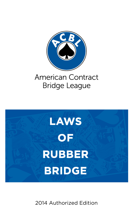

## **American Contract Bridge League**



2014 Authorized Edition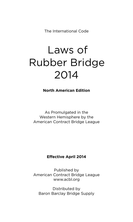The International Code

# Laws of Rubber Bridge 2014

**North American Edition**

As Promulgated in the Western Hemisphere by the American Contract Bridge League

## **Effective April 2014**

Published by American Contract Bridge League www.acbl.org

Distributed by Baron Barclay Bridge Supply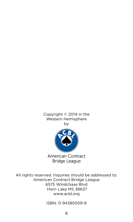## Copyright © 2014 in the Western Hemisphere by



**American Contract Bridge League** 

All rights reserved. Inquiries should be addressed to: American Contract Bridge League 6575 Windchase Blvd Horn Lake MS 38637 www.acbl.org

ISBN: 0-94385509-8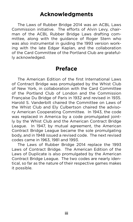## **Acknowledgments**

<span id="page-4-0"></span>The Laws of Rubber Bridge 2014 was an ACBL Laws Commission initiative. The efforts of Alvin Levy, chairman of the ACBL Rubber Bridge Laws drafting committee, along with the guidance of Roger Stern who was also instrumental in guiding the 1993 version working with the late Edgar Kaplan, and the collaboration of the Card Committee of the Portland Club are gratefully acknowledged.

## **Preface**

The American Edition of the first International Laws of Contract Bridge was promulgated by the Whist Club of New York, in collaboration with the Card Committee of the Portland Club of London and the Commission Française Du Bridge of Paris in 1932 and revised in 1935. Harold S. Vanderbilt chaired the Committee on Laws of the Whist Club and Ely Culbertson chaired the advisory American Cooperating Committee. In 1943, the code was replaced in America by a code promulgated jointly by the Whist Club and the American Contract Bridge League. In 1947, by mutual agreement, the American Contract Bridge League became the sole promulgating body, and in 1948 issued a revised code. The next revised codes came in 1963, 1981 and 1993.

The Laws of Rubber Bridge 2014 replace the 1993 Laws of Contract Bridge. The American Edition of the Laws of Duplicate is also promulgated by the American Contract Bridge League. The two codes are nearly identical, so far as the nature of their respective games makes it possible.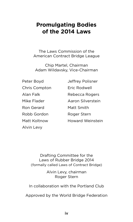## <span id="page-5-0"></span>**Promulgating Bodies of the 2014 Laws**

The Laws Commission of the American Contract Bridge League

Chip Martel, Chairman Adam Wildavsky, Vice-Chairman

Chris Compton Eric Rodwell Ron Gerard Matt Smith Robb Gordon Roger Stern

Alvin Levy

Peter Boyd Jeffrey Polisner Alan Falk Rebecca Rogers Mike Flader **Aaron Silverstein** Matt Koltnow Howard Weinstein

> Drafting Committee for the Laws of Rubber Bridge 2014 (formally called Laws of Contract Bridge)

> > Alvin Levy, chairman Roger Stern

In collaboration with the Portland Club

Approved by the World Bridge Federation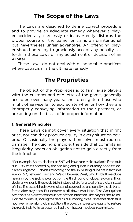## **The Scope of the Laws**

<span id="page-6-0"></span>The Laws are designed to define correct procedure and to provide an adequate remedy whenever a player accidentally, carelessly or inadvertently disturbs the proper course of the game, or gains an unintentional but nevertheless unfair advantage. An offending player should be ready to graciously accept any penalty set forth in these Laws or any adjustment or decision of an **Arbiter** 

These Laws do not deal with dishonorable practices where ostracism is the ultimate remedy.

## **The Proprieties**

The object of the Proprieties is to familiarize players with the customs and etiquette of the game, generally accepted over many years; and to enlighten those who might otherwise fail to appreciate when or how they are improperly conveying information to their partners, or are acting on the basis of improper information.

## **1. General Principles**

These Laws cannot cover every situation that might arise, nor can they produce equity in every situation covered. Occasionally the players themselves must redress damage. The guiding principle: the side that commits an irregularity bears an obligation not to gain directly from the infraction<sup>1</sup>.

 $^1$  For example, South, declarer at 3NT, will have nine tricks available if the club suit — six cards headed by the ace, king and queen in dummy opposite declarer's singleton — divides favorably, and the six missing clubs are in fact split evenly, 3-3, between East and West. However, West, who holds three clubs heading by the jack, shows out on the third round of clubs, revoking. Thus, declarer wins only three club tricks instead of six, for a total of six tricks instead of nine. The established revoke is later discovered, so one penalty trick is transferred after play ends. But declarer is still down two. Here, East-West gained two tricks as a direct consequence of their infraction. The players should adjudicate this result, scoring the deal as 3NT making three. Note that declarer is not given a penalty trick in addition; the object is to restore equity, to restore the result likely to have occurred had the infraction not been committed.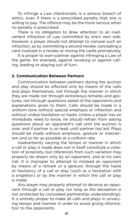<span id="page-7-0"></span>To infringe a Law intentionally is a serious breach of ethics, even if there is a prescribed penalty that one is willing to pay. The offence may be the more serious when no penalty is prescribed.

There is no obligation to draw attention to an inadvertent infraction of Law committed by one's own side. However, a player should not attempt to conceal such an infraction, as by committing a second revoke, concealing a card involved in a revoke or mixing the cards prematurely.

It is proper to warn partner against infringing a Law of the game: for example, against revoking or against calling, leading or playing out of turn.

## **2. Communication Between Partners**

Communication between partners during the auction and play should be effected only by means of the calls and plays themselves, not through the manner in which they are made nor through extraneous remarks and gestures, nor through questions asked of the opponents and explanations given to them. Calls should be made in a uniform tone without special emphasis or inflection and without undue hesitation or haste. Unless a player has an immediate need to know, he should refrain from asking questions about an opponent's call until the auction is over, and if partner is on lead, until partner has led. Plays should be made without emphasis, gesture or mannerism and so far as possible at a uniform rate.

Inadvertently varying the tempo or manner in which a call or play is made does not in itself constitute a violation of propriety, but inferences from such variation may properly be drawn only by an opponent, and at his own risk. It is improper to attempt to mislead an opponent by means of a remark or a gesture, through the haste or hesitancy of a call or play (such as a hesitation with a singleton) or by the manner in which the call or play is made.

Any player may properly attempt to deceive an opponent through a call or play (so long as the deception is not protected by concealed partnership understanding). It is entirely proper to make all calls and plays in unvarying tempo and manner in order to avoid giving information to the opponents.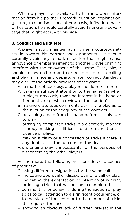<span id="page-8-0"></span>When a player has available to him improper information from his partner's remark, question, explanation, gesture, mannerism, special emphasis, inflection, haste or hesitation, he should carefully avoid taking any advantage that might accrue to his side.

## **3. Conduct and Etiquette**

A player should maintain at all times a courteous attitude toward his partner and opponents. He should carefully avoid any remark or action that might cause annoyance or embarrassment to another player or might interfere with the enjoyment of the game. Every player should follow uniform and correct procedure in calling and playing, since any departure from correct standards may disrupt the orderly progress of the game.

As a matter of courtesy, a player should refrain from:

- A. paying insufficient attention to the game (as when a player obviously takes no interest in his hand or frequently requests a review of the auction).
- B. making gratuitous comments during the play as to the auction or the adequacy of the contract.
- C. detaching a card from his hand before it is his turn to play.
- D. arranging completed tricks in a disorderly manner, thereby making it difficult to determine the sequence of plays.
- E. making a claim or a concession of tricks if there is any doubt as to the outcome of the deal.
- F. prolonging play unnecessarily for the purpose of disconcerting the other players.

Furthermore, the following are considered breaches of propriety:

- G. using different designations for the same call.
- H. indicating approval or disapproval of a call or play.
- I. indicating the expectation or intention of winning or losing a trick that has not been completed.
- J. commenting or behaving during the auction or play so as to call attention to a significant occurrence, or to the state of the score or to the number of tricks still required for success.
- K. showing an obvious lack of further interest in the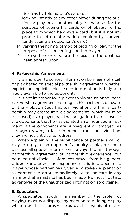deal (as by folding one's cards).

- <span id="page-9-0"></span>L. looking intently at any other player during the auction or play or at another player's hand as for the purpose of seeing his cards or of observing the place from which he draws a card (but it is not improper to act on information acquired by inadvertently seeing an opponent's card).
- M. varying the normal tempo of bidding or play for the purpose of disconcerting another player.
- N. mixing the cards before the result of the deal has been agreed upon.

## **4. Partnership Agreements**

It is improper to convey information by means of a call or play based on special partnership agreement, whether explicit or implicit, unless such information is fully and freely available to the opponents.

It is not improper for a player to violate an announced partnership agreement, so long as his partner is unaware of the violation (but habitual violations within a partnership may create implicit agreements, which must be disclosed). No player has the obligation to disclose to the opponents that he has violated an announced agreement. If the opponents are subsequently damaged, as through drawing a false inference from such violation, they are not entitled to redress.

When explaining the significance of partner's call or play in reply to an opponent's inquiry, a player should disclose all special information conveyed to him through partnership agreement or partnership experience, but he need not disclose inferences drawn from his general bridge knowledge and experience. It is improper for a player whose partner has given a mistaken explanation to correct the error immediately or to indicate in any manner that a mistake has been made. He must not take advantage of the unauthorized information so obtained.

## **5. Spectators**

A spectator, including a member of the table not playing, must not display any reaction to bidding or play while a deal is in progress (as by shifting his attention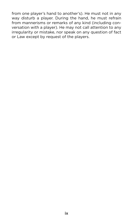from one player's hand to another's). He must not in any way disturb a player. During the hand, he must refrain from mannerisms or remarks of any kind (including conversation with a player). He may not call attention to any irregularity or mistake, nor speak on any question of fact or Law except by request of the players.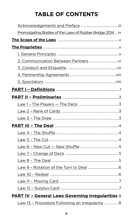## **TABLE OF CONTENTS**

| Promulgating Bodies of the Laws of Rubber Bridge 2014  iv |
|-----------------------------------------------------------|
|                                                           |
|                                                           |
|                                                           |
|                                                           |
|                                                           |
|                                                           |
|                                                           |
|                                                           |
|                                                           |
|                                                           |
|                                                           |
|                                                           |
|                                                           |
|                                                           |
|                                                           |
|                                                           |
|                                                           |
|                                                           |
|                                                           |
|                                                           |
|                                                           |
|                                                           |
| <b>PART IV - General Laws Governing Irregularities 8</b>  |
| Law 13 - Procedure Following an Irregularity 8            |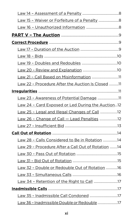| Law 15 - Waiver or Forfeiture of a Penalty 8        |  |
|-----------------------------------------------------|--|
|                                                     |  |
|                                                     |  |
|                                                     |  |
|                                                     |  |
|                                                     |  |
|                                                     |  |
|                                                     |  |
| Law 21 - Call Based on Misinformation 11            |  |
| Law 22 - Procedure After the Auction Is Closed  11  |  |
|                                                     |  |
| Law 23 - Awareness of Potential Damage 11           |  |
| Law 24 - Card Exposed or Led During the Auction12   |  |
| Law 25 - Legal and Illegal Changes of Call 12       |  |
| Law 26 - Change of Call - Lead Penalties 12         |  |
|                                                     |  |
|                                                     |  |
| Law 28 - Calls Considered to Be in Rotation 14      |  |
| Law 29 - Procedure After a Call Out of Rotation  14 |  |
|                                                     |  |
|                                                     |  |
| Law 32 - Double or Redouble Out of Rotation 16      |  |
|                                                     |  |
| Law 34 - Retention of the Right to Call 17          |  |
|                                                     |  |
| Law 35 - Inadmissible Call Condoned 17              |  |
| Law 36 - Inadmissible Double or Redouble 17         |  |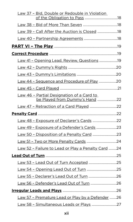| Law 37 - Bid, Double or Redouble in Violation                               |  |
|-----------------------------------------------------------------------------|--|
|                                                                             |  |
|                                                                             |  |
| Law 39 - Call After the Auction is Closed 18                                |  |
|                                                                             |  |
|                                                                             |  |
|                                                                             |  |
| Law 41 - Opening Lead, Review, Questions 19                                 |  |
|                                                                             |  |
|                                                                             |  |
| Law 44 - Sequence and Procedure of Play 20                                  |  |
|                                                                             |  |
| Law 46 - Partial Designation of a Card to<br>be Played from Dummy's Hand 22 |  |
|                                                                             |  |
|                                                                             |  |
|                                                                             |  |
| Law 49 - Exposure of a Defender's Cards 23                                  |  |
| Law 50 - Disposition of a Penalty Card 23                                   |  |
|                                                                             |  |
| Law 52 - Failure to Lead or Play a Penalty Card 24                          |  |
|                                                                             |  |
|                                                                             |  |
| Law 54 - Opening Lead Out of Turn 25                                        |  |
| Law 55 - Declarer's Lead Out of Turn 26                                     |  |
| Law 56 - Defender's Lead Out of Turn 26                                     |  |
|                                                                             |  |
| Law 57 - Premature Lead or Play by a Defender 26                            |  |
| Law 58 - Simultaneous Leads or Plays 27                                     |  |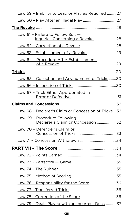| Law 59 - Inability to Lead or Play as Required 27                         |  |
|---------------------------------------------------------------------------|--|
|                                                                           |  |
|                                                                           |  |
|                                                                           |  |
| Law $61$ - Failure to Follow Suit $-$<br>Inquiries Concerning a Revoke 28 |  |
|                                                                           |  |
|                                                                           |  |
| Law 64 - Procedure After Establishment                                    |  |
|                                                                           |  |
| Law 65 - Collection and Arrangement of Tricks 30                          |  |
|                                                                           |  |
| Law 67 - Trick Either Appropriated in                                     |  |
|                                                                           |  |
| Law 68 - Declarer's Claim or Concession of Tricks32                       |  |
| Law 69 - Procedure Following<br>Declarer's Claim or Concession 32         |  |
| Law 70 - Defender's Claim or                                              |  |
|                                                                           |  |
|                                                                           |  |
|                                                                           |  |
|                                                                           |  |
|                                                                           |  |
|                                                                           |  |
|                                                                           |  |
|                                                                           |  |
|                                                                           |  |
| Law 79 - Deals Played with an Incorrect Deck 37                           |  |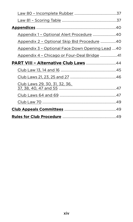| <u> Appendix 1 - Optional Alert Procedure</u> 40 |  |
|--------------------------------------------------|--|
| Appendix 2 - Optional Skip Bid Procedure 40      |  |
| Appendix 3 - Optional Face Down Opening Lead 40  |  |
| Appendix 4 - Chicago or Four-Deal Bridge 41      |  |
| <b>PART VIII - Alternative Club Laws 44</b>      |  |
|                                                  |  |
|                                                  |  |
| Club Laws 29, 30, 31, 32, 36,                    |  |
|                                                  |  |
|                                                  |  |
|                                                  |  |
|                                                  |  |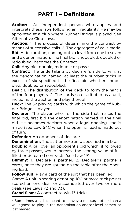## **PART I – Definitions**

<span id="page-16-0"></span>**Arbiter:** An independent person who applies and interprets these laws following an irregularity. He may be appointed at a club where Rubber Bridge is played. See Alternative Club Laws.

**Auction:** 1. The process of determining the contract by means of successive calls. 2. The aggregate of calls made. **Bid:** A declaration, naming both a level from one to seven and a denomination. The final bid, undoubled, doubled or redoubled, becomes the Contract.

**Call:** Any bid, double, redouble or pass.<sup>2</sup>

**Contract:** The undertaking by declarer's side to win, at the denomination named, at least the number tricks in excess of six specified in the final bid whether undoubled, doubled or redoubled.

**Deal:** 1. The distribution of the deck to form the hands of the four players. 2. The cards so distributed as a unit, including the auction and play thereof.

**Deck:** The 52 playing cards with which the game of Rubber Bridge is played.

**Declarer:** The player who, for the side that makes the final bid, first bid the denomination named in the final bid. He becomes declarer when a legal opening lead is made (see Law 54C when the opening lead is made out of turn).

**Defender:** An opponent of declarer.

**Denomination:** The suit or no-trump specified in a bid.

**Double:** A call over an opponent's bid which, if followed by three passes, would increase the scoring value of fulfilled or defeated contracts (see Law 19).

**Dummy:** 1. Declarer's partner. 2. Declarer's partner's cards, once they are spread on the table after the opening lead.

**Follow suit:** Play a card of the suit that has been led.

Game: A unit in scoring denoting 100 or more trick points scored on one deal, or accumulated over two or more deals (see Laws 72 and 73).

**Grand Slam:** A contract to win 13 tricks.

 $2$  Sometimes a call is meant to convey a message other than a willingness to play in the denomination and/or level named or last named.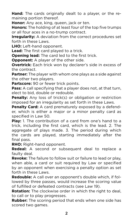**Hand:** The cards originally dealt to a player, or the remaining portion thereof.

**Honor:** Any ace, king, queen, jack or ten.

**Honors:** The holding of at least four of the top five trumps or all four aces in a no-trump contract.

**Irregularity:** A deviation from the correct procedures set forth in these Laws.

**LHO:** Left-hand opponent.

**Lead:** The first card played to a trick.

**Opening lead:** The card led to the first trick.

**Opponent:** A player of the other side.

**Overtrick:** Each trick won by declarer's side in excess of the contract.

**Partner:** The player with whom one plays as a side against the other two players.

**Partscore:** 90 or fewer trick points.

**Pass:** A call specifying that a player does not, at that turn, elect to bid, double or redouble.

**Penalty:** Any loss of trick(s) or obligation or restriction imposed for an irregularity as set forth in these Laws.

**Penalty Card:** A card prematurely exposed by a defender, which is either a major or a minor penalty card as specified in Law 50.

**Play:** 1. The contribution of a card from one's hand to a trick, including the first card, which is the lead. 2. The aggregate of plays made. 3. The period during which the cards are played, starting immediately after the final pass.

**RHO:** Right-hand opponent.

**Redeal:** A second or subsequent deal to replace a faulty deal.

**Revoke:** The failure to follow suit or failure to lead or play, when able, a card or suit required by Law or specified by an opponent when exercising a penalty option as set forth in these Laws.

**Redouble:** A call over an opponent's double which, if followed by three passes, would increase the scoring value of fulfilled or defeated contracts (see Law 19).

**Rotation:** The clockwise order in which the right to deal. to call or to play progresses.

**Rubber:** The scoring period that ends when one side has scored two games.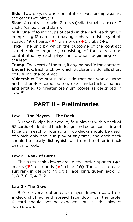<span id="page-18-0"></span>**Side:** Two players who constitute a partnership against the other two players.

**Slam:** A contract to win 12 tricks (called small slam) or 13 tricks (called grand slam).

**Suit:** One of four groups of cards in the deck, each group comprising 13 cards and having a characteristic symbol: spades ( $\spadesuit$ ), hearts ( $\blacktriangledown$ ), diamonds ( $\spadesuit$ ), clubs ( $\clubsuit$ ).

**Trick:** The unit by which the outcome of the contract is determined, regularly consisting of four cards, one contributed by each player in rotation, beginning with the lead.

**Trump:** Each card of the suit, if any, named in the contract. **Undertrick:** Each trick by which declarer's side falls short of fulfilling the contract.

**Vulnerable:** The status of a side that has won a game and is therefore exposed to greater undertrick penalties and entitled to greater premium scores as described in Law 81.

## **PART II – Preliminaries**

## **Law 1 – The Players — The Deck**

Rubber Bridge is played by four players with a deck of 52 cards of identical back design and color, consisting of 13 cards in each of four suits. Two decks should be used, of which only one is in play at any time, and each deck should be clearly distinguishable from the other in back design or color.

## **Law 2 – Rank of Cards**

The suits rank downward in the order spades  $($   $\spadesuit$ ). hearts (♥), diamonds (♦), clubs (♣). The cards of each suit rank in descending order: ace, king, queen, jack, 10, 9, 8, 7, 6, 5, 4, 3, 2.

## **Law 3 – The Draw**

Before every rubber, each player draws a card from a deck shuffled and spread face down on the table. A card should not be exposed until all the players have drawn.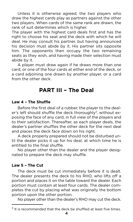<span id="page-19-0"></span>Unless it is otherwise agreed, the two players who draw the highest cards play as partners against the other two players. When cards of the same rank are drawn, the rank of suit determines which is higher.

The player with the highest card deals first and has the right to choose his seat and the deck with which he will deal. He may consult his partner, but having announced his decision must abide by it. His partner sits opposite him. The opponents then occupy the two remaining seats as they wish, and having made their selection must abide by it.

A player must draw again if he draws more than one card, or one of the four cards at either end of the deck, or a card adjoining one drawn by another player, or a card from the other deck.

## **PART III – The Deal**

#### **Law 4 – The Shuffle**

Before the first deal of a rubber, the player to the dealer's left should shuffle the deck thoroughly<sup>3</sup>, without exposing the face of any card, in full view of the players and to their satisfaction. Thereafter, as each player deals, the dealer's partner shuffles the other deck for the next deal and places the deck face down on his right.

A deck properly prepared should not be disturbed until the dealer picks it up for his deal, at which time he is entitled to the final shuffle.

No player other than the dealer and the player designated to prepare the deck may shuffle.

#### **Law 5 – The Cut**

The deck must be cut immediately before it is dealt. The dealer presents the deck to his RHO, who lifts off a portion and places it on the table toward the dealer. Each portion must contain at least four cards. The dealer completes the cut by placing what was originally the bottom portion upon the other portion.

No player other than the dealer's RHO may cut the deck.

 $3$  It is recommended that the deck be shuffled at least five times.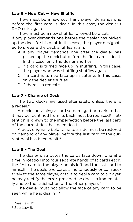## <span id="page-20-0"></span>**Law 6 – New Cut — New Shuffle**

There must be a new cut if any player demands one before the first card is dealt. In this case, the dealer's RHO cuts again.

There must be a new shuffle, followed by a cut:

if any player demands one before the dealer has picked up the deck for his deal. In this case, the player designated to prepare the deck shuffles again.

- A. if any player demands one after the dealer has picked up the deck but before the first card is dealt. In this case, only the dealer shuffles.
- B. if a card is turned face up in shuffling. In this case, the player who was shuffling shuffles again.
- C. if a card is turned face up in cutting. In this case, only the dealer shuffles.
- D. if there is a redeal.<sup>4</sup>

## **Law 7 – Change of Deck**

The two decks are used alternately, unless there is a redeal.4

A deck containing a card so damaged or marked that it may be identified from its back must be replaced<sup>5</sup> if attention is drawn to the imperfection before the last card of the current deal has been dealt.

A deck originally belonging to a side must be restored on demand of any player before the last card of the current deal has been dealt.<sup>5</sup>

## **Law 8 – The Deal**

The dealer distributes the cards face down, one at a time in rotation into four separate hands of 13 cards each, the first card to the player on his left and the last card to himself. If he deals two cards simultaneously or consecutively to the same player, or fails to deal a card to a player, he may rectify the error, provided he does so immediately and to the satisfaction of the other players.4

The dealer must not allow the face of any card to be seen while he is dealing.4

 $4$  See Law 10.

 $5$  See Law 8.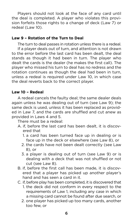<span id="page-21-0"></span>Players should not look at the face of any card until the deal is completed. A player who violates this provision forfeits those rights to a change of deck (Law 7) or redeal (Law 10).

## **Law 9 – Rotation of the Turn to Deal**

The turn to deal passes in rotation unless there is a redeal. If a player deals out of turn, and attention is not drawn to the error before the last card has been dealt, the deal stands as though it had been in turn. The player who dealt the cards is the dealer (he makes the first call). The player who missed his turn to deal has no redress and the rotation continues as though the deal had been in turn. unless a redeal is required under Law 10, in which case the deal reverts back to the correct player.

## **Law 10 – Redeal**

A redeal cancels the faulty deal; the same dealer deals again unless he was dealing out of turn (see Law 9); the same deck is used, unless it has been replaced as provided in Law 7, and the cards are shuffled and cut anew as provided in Laws 4 and 5.

There must be a redeal:

- A. if, before the last card has been dealt, it is discovered that
	- 1. a card has been turned face up in dealing or is face up in the deck or elsewhere (see Law 8), or
	- 2. the cards have not been dealt correctly (see Law 8), or
	- 3. a player is dealing out of turn (see Law 9) or is dealing with a deck that was not shuffled or not cut (see Law 8).
- B. if, before the first call has been made, it is discovered that a player has picked up another player's hand and has seen a card in it.
- C. if, before play has been completed, it is discovered that
	- 1. the deck did not conform in every respect to the requirements of Law 1, including any case in which a missing card cannot be found after due search, or
	- 2. one player has picked up too many cards, another too few, or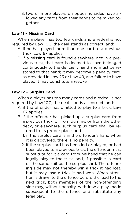<span id="page-22-0"></span>3. two or more players on opposing sides have allowed any cards from their hands to be mixed together.

## **Law 11 – Missing Card**

When a player has too few cards and a redeal is not required by Law 10C, the deal stands as correct, and:

- A. if he has played more than one card to a previous trick, Law 67 applies.
- B. if a missing card is found elsewhere, not in a previous trick, that card is deemed to have belonged continuously to the deficient hand and must be restored to that hand; it may become a penalty card, as provided in Law 23 or Law 49, and failure to have played it may constitute a revoke.

## **Law 12 – Surplus Card**

When a player has too many cards and a redeal is not required by Law 10C, the deal stands as correct, and:

- A. if the offender has omitted to play to a trick, Law 67 applies.
- B. if the offender has picked up a surplus card from a previous trick, or from dummy, or from the other deck, or elsewhere, such surplus card shall be restored to its proper place, and
	- 1. if the surplus card is in the offender's hand when it is discovered, there is no penalty.
	- 2. if the surplus card has been led or played, or had been played to a previous trick, the offender must substitute for it a card from his hand that he can legally play to the trick, and, if possible, a card of the same suit as the surplus card. The offending side may not thereby win a trick it had lost, but it may lose a trick it had won. When attention is drawn to the offence before the lead to the next trick, both members of the non-offending side may, without penalty, withdraw a play made subsequent to the offence and substitute any legal play.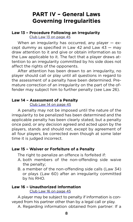## **PART IV – General Laws Governing Irregularities**

## <span id="page-23-0"></span>**[Law 13 – Procedure Following an Irregularity](#page-60-0)** Club Law 13 on page 45

When an irregularity has occurred, any player - except dummy as specified in Law 42 and Law 43 — may draw attention to it and give or obtain information as to the Law applicable to it. The fact that a player draws attention to an irregularity committed by his side does not affect the rights of the opponents.

After attention has been drawn to an irregularity, no player should call or play until all questions in regard to the assessment of a penalty have been determined. Premature correction of an irregularity on the part of the offender may subject him to further penalty (see Law 26).

#### **[Law 14 – Assessment of a Penalty](#page-60-0)** Club Law 14 on page 45

A penalty may not be imposed until the nature of the irregularity to be penalized has been determined and the applicable penalty has been clearly stated, but a penalty once paid, or any decision agreed and acted upon by the players, stands and should not, except by agreement of all four players, be corrected even though at some later time it is judged incorrect.

## **Law 15 – Waiver or Forfeiture of a Penalty**

The right to penalize an offence is forfeited if:

- A. both members of the non-offending side waive the penalty;
- B. a member of the non-offending side calls (Law 34) or plays (Law 60) after an irregularity committed by his RHO.

## **[Law 16 – Unauthorized Information](#page-60-0)**

Club Law 16 on page 45

A player may be subject to penalty if information is conveyed from his partner other than by a legal call or play.

A. Regarding information obtained from partner: If a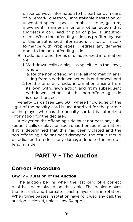<span id="page-24-0"></span>player conveys information to his partner by means of a remark, question, unmistakable hesitation or unwonted speed, special emphasis, tone, gesture, movement, mannerism or any other action that suggests a call, lead or plan of play, is unauthorized. When the offending side has profited by use of this unauthorized information, it should, in conformance with Proprieties 1, redress any damage done to the non-offending side.

- B. In addition, other forms of unauthorized information are:
	- 1. Withdrawn calls or plays as specified in the Laws, where
		- a. for the non-offending side, all information arising from a withdrawn action is authorized, and
	- 2. for the offending side, information arising from its own withdrawn action and from subsequent withdrawn actions of the non-offending side is unauthorized.

Penalty Cards (see Law 50), where knowledge of the sight of the penalty card is unauthorized for the partner of the player who has the penalty card. It is authorized information for the declarer.

A player on the offending side must not base any subsequent calls or plays on such unauthorized information. If it is determined that this has been violated and the non-offending side has been damaged, the result should be adjusted to redress any damage done to the non-offending side.

## **PART V – The Auction**

## **Correct Procedure**

## **Law 17 – Duration of the Auction**

The auction begins when the last card of a correct deal has been placed on the table. The dealer makes the first call, and thereafter each player calls in rotation. When three passes in rotation have followed any call, the auction is closed, unless Law 34 applies.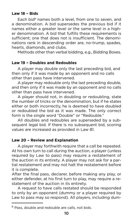## <span id="page-25-0"></span>**Law 18 – Bids**

Each bid<sup>6</sup> names both a level, from one to seven, and a denomination. A bid supersedes the previous bid if it names either a greater level or the same level in a higher denomination. A bid that fulfills these requirements is sufficient; one that does not is insufficient. The denominations rank in descending order are, no-trump, spades, hearts, diamonds, and clubs.

Methods other than verbal bidding, e.g., Bidding Boxes.

## **Law 19 – Doubles and Redoubles**

A player may double only the last preceding bid, and then only if it was made by an opponent and no calls other than pass have intervened.

A player may redouble only the last preceding double, and then only if it was made by an opponent and no calls other than pass have intervened.

A player should not, in doubling or redoubling, state the number of tricks or the denomination, but if he states either or both incorrectly, he is deemed to have doubled or redoubled the bid as it was made. The only correct form is the single word "Double" or "Redouble."

All doubles and redoubles are superseded by a subsequent legal bid. If there is no subsequent bid, scoring values are increased as provided in Law 81.

## **Law 20 – Review and Explanation**

A player may forthwith require that a call be repeated. At his own turn to call during the auction, a player (unless required by Law to pass) may require a restatement of the auction in its entirety. A player may not ask for a partial restatement and may not halt the restatement before it is complete.

After the final pass, declarer, before making any play, or either defender, at his first turn to play, may require a restatement of the auction in its entirety.

A request to have calls restated should be responded to only by an opponent (dummy or a player required by Law to pass may so respond). All players, including dum-

<sup>&</sup>lt;sup>6</sup> Pass, double and redouble are calls, not bids.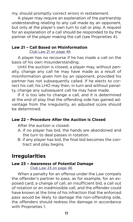<span id="page-26-0"></span>my, should promptly correct errors in restatement.

A player may require an explanation of the partnership understanding relating to any call made by an opponent, but only at the player's own turn to call or play. A request for an explanation of a call should be responded to by the partner of the player making the call (see Proprieties 4).

## **[Law 21 – Call Based on Misinformation](#page-61-0)**

Club Law 21 on page 46

A player has no recourse if he has made a call on the basis of his own misunderstanding.

Until the auction is closed, a player may, without penalty, change any call he may have made as a result of misinformation given him by an opponent, provided his partner has not subsequently called. If he elects to correct his call, his LHO may then, in turn and without penalty, change any subsequent call he may have made.

If it is too late to change a call, and it is determined at the end of play that the offending side has gained advantage from the irregularity, an adjusted score should be determined.

## **Law 22 – Procedure After the Auction Is Closed**

After the auction is closed:

- A. if no player has bid, the hands are abandoned and the turn to deal passes in rotation.
- B. if any player has bid, the final bid becomes the contract and play begins.

## **Irregularities**

## **[Law 23 – Awareness of Potential Damage](#page-61-0)**  Club Law 23 on page 46

When a penalty for an offense under the Law compels the offender's partner to pass, as for example, for an exposed card, a change of call, an insufficient bid, a call out of rotation or an inadmissible call, and the offender could have known at the time of his infraction that the enforced pass would be likely to damage the non-offending side, the offenders should redress the damage in accordance with Proprieties 1.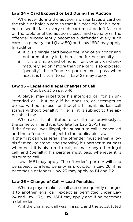## <span id="page-27-0"></span>**Law 24 – Card Exposed or Led During the Auction**

Whenever during the auction a player faces a card on the table or holds a card so that it is possible for his partner to see its face, every such card must be left face up on the table until the auction closes, and (penalty) if the offender subsequently becomes a defender, every such card is a penalty card (Law 50) and Law 16B2 may apply. In addition:

- A. if it is a single card below the rank of an honor and not prematurely led, there is no further penalty.
- B. if it is a single card of honor rank or any card prematurely led or if more than one card is so exposed, (penalty) the offender's partner must pass when next it is his turn to call. Law 23 may apply.

#### **[Law 25 – Legal and Illegal Changes of Call](#page-61-0)** Club Law 25 on page 46

A player may substitute his intended call for an unintended call, but only if he does so, or attempts to do so, without pause for thought. If legal, his last call stands without penalty; if illegal, it is subject to the applicable Law.

When a call is substituted for a call made previously at the same turn, and it is too late for Law 25A, then:

if the first call was illegal, the substitute call is cancelled and the offender is subject to the applicable Laws.

if the first call was legal, the offender must either: allow his first call to stand, and (penalty) his partner must pass when next it is his turn to call, or make any other legal call, and (penalty) his partner must pass whenever it is his turn to call.

Laws 16B1 may apply. The offender's partner will also be subject to a lead penalty as provided in Law 26, if he becomes a defender. Law 23 may apply to B1 and B2.

## **Law 26 – Change of Call — Lead Penalties**

When a player makes a call and subsequently changes it to another legal call (except as permitted under Law 24 and Law 27), Law 16B1 may apply and if he becomes a defender:

A. if the changed call was in a suit, and the substituted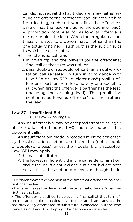<span id="page-28-0"></span>call did not repeat that suit, declarer may<sup>7</sup> either require the offender's partner to lead, or prohibit him from leading, such suit when first the offender's partner has the lead (including the opening lead). A prohibition continues for as long as offender's partner retains the lead. When the irregular call artificially relates to a denomination other than the one actually named, "such suit" is the suit or suits to which the call relates.

- B. if the changed call was
	- 1. in no-trump and the player's (or the offender's) final call at that turn was not, or
	- 2. pass, double or redouble, other than an out-of-rotation call repeated in turn in accordance with Law 30A or Law 32B1, declarer may<sup>8</sup> prohibit offender's partner from leading any one specified suit when first the offender's partner has the lead (including the opening lead). This prohibition continues as long as offender's partner retains the lead.

## **[Law 27 – Insufficient Bid](#page-62-0)**

## Club Law 27 on page 47

Any insufficient bid may be accepted (treated as legal) at the option of offender's LHO and is accepted if that opponent calls.

An insufficient bid made in rotation must be corrected by the substitution of either a sufficient bid (not a double or double) or a pass<sup>9</sup>, unless the irregular bid is accepted. Law 16B1 may apply.

If the call substituted is:

A. the lowest sufficient bid in the same denomination, and if the insufficient bid and sufficient bid are both not artificial, the auction proceeds as though the ir-

 $7$  Declarer makes the decision at the time that offender's partner first has the lead.

<sup>8</sup>Declarer makes the decision at the time that offender's partner first has the lead.

 $9$  The offender is entitled to select his final call at that turn after the applicable penalties have been stated, and any call he has previously attempted to substitute is canceled, but the lead penalties of Law 26 will apply if he becomes a defender.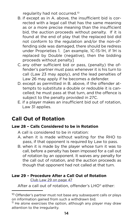regularity had not occurred.10

- <span id="page-29-0"></span>B. if except as in A. above, the insufficient bid is corrected with a legal call that has the same meaning as or a more precise meaning than the insufficient bid, the auction proceeds without penalty. If it is found at the end of play that the replaced bid did not conform to the regulation and/or the non-offending side was damaged, there should be redress under Proprieties 1. [an example, 1C-1S-1H, if 1H is replaced by Double (negative), then the bidding proceeds without penalty]
- C. any other sufficient bid or pass, (penalty) the offender's partner must pass whenever it is his turn to call (Law 23 may apply), and the lead penalties of Law 26 may apply if he becomes a defender.
- D. except as permitted in B. above, if the offender attempts to substitute a double or redouble it is cancelled; he must pass at that turn, and the offence is subject to the penalty provided in 27C.
- E. if a player makes an insufficient bid out of rotation, Law 31 applies.

## **Call Out of Rotation**

## **Law 28 – Calls Considered to be in Rotation**

- A call is considered to be in rotation:
- A. when it is made without waiting for the RHO to pass, if that opponent is required by Law to pass.
- B. when it is made by the player whose turn it was to call, before a penalty has been imposed for a call out of rotation by an opponent. It waives any penalty for the call out of rotation, and the auction proceeds as though that opponent had not called at that turn.

## **[Law 29 – Procedure After a Call Out of Rotation](#page-62-0)** Club Law 29 on page 47

After a call out of rotation, offender's LHO<sup>11</sup> either:

<sup>&</sup>lt;sup>10</sup> Offender's partner must not base any subsequent calls or plays on information gained from such a withdrawn bid.

<sup>&</sup>lt;sup>11</sup> He alone exercises the option, although any player may draw attention to the irregularity.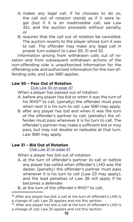- <span id="page-30-0"></span>A. makes any legal call. If he chooses to do so, the call out of rotation stands as if it were legal (but if it is an inadmissible call, see Law 35), and the auction proceeds without penalty, or
- B. requires that the call out of rotation be cancelled. The auction reverts to the player whose turn it was to call. The offender may make any legal call in proper turn subject to Laws 30, 31 and 32.

Information arising from withdrawn calls out of rotation and from subsequent withdrawn actions of the non-offending side is unauthorized Information for the offending side and authorized information for the non-offending side, and Law 16B1 applies.

## **[Law 30 – Pass Out of Rotation](#page-62-0)**

Club Law 30 on page 47

When a player has passed out of rotation:

- A. before any player has bid or when it was the turn of his RHO<sup>12</sup> to call, (penalty) the offender must pass when next it is his turn to call. Law 16B1 may apply.
- B. after any player has bid and when it was the turn of the offender's partner to call, (penalty) the offender must pass whenever it is his turn to call. The offender's partner may make a sufficient bid or may pass, but may not double or redouble at that turn. Law 16B1 may apply.

## **[Law 31 – Bid Out of Rotation](#page-62-0)**

Club Law 31 on page 47

When a player has bid out of rotation:

- A. at the turn of offender's partner to call or before any player has called when offender's LHO was the dealer, (penalty) the offender's partner must pass whenever it is his turn to call (Law 23 may apply). and the lead penalties of Law 26 will apply if he becomes a defender.
- B. at the turn of the offender's RHO<sup>13</sup> to call.

<sup>&</sup>lt;sup>12</sup> After any player has bid, a call at the turn of offender's LHO is a change of call; Law 25 applies and not this section.

<sup>&</sup>lt;sup>13</sup> After any player has bid, a call at the turn of offender's LHO is a change of call; Law 25 applies and not this section.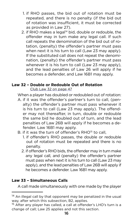- <span id="page-31-0"></span> 1. if RHO passes, the bid out of rotation must be repeated, and there is no penalty (if the bid out of rotation was insufficient, it must be corrected as provided in Law 27).
- 2. if RHO makes a legal $14$  bid, double or redouble, the offender may in turn make any legal call. If such call repeats the denomination of the bid out of rotation, (penalty) the offender's partner must pass when next it is his turn to call (Law 23 may apply). If the substituted call does not repeat the denomination, (penalty) the offender's partner must pass whenever it is his turn to call (Law 23 may apply), and the lead penalties of Law 26 will apply if he becomes a defender, and Law 16B1 may apply.

## **[Law 32 – Double or Redouble Out of Rotation](#page-62-0)**

Club Law 32 on page 47

When a player has doubled or redoubled out of rotation:

- A. if it was the offender's partner's turn to call, (penalty) the offender's partner must pass whenever it is his turn to call (Law 23 may apply). The offender may not thereafter, in turn, double or redouble the same bid he doubled out of turn, and the lead penalties of Law 26B will apply if he becomes a defender. Law 16B1 may apply.
- B. if it was the turn of offender's RHO<sup>15</sup> to call.
	- 1. if offender's RHO passes, the double or redouble out of rotation must be repeated and there is no penalty.
	- 2. if offender's RHO bids, the offender may in turn make any legal call, and (penalty) the offender's partner must pass when next it is his turn to call (Law 23 may apply), and the lead penalties of Law 26B will apply if he becomes a defender. Law 16B1 may apply.

## **Law 33 – Simultaneous Calls**

A call made simultaneously with one made by the player

<sup>&</sup>lt;sup>14</sup> An illegal call by that opponent may be penalized in the usual way, after which this subsection, B2, applies.

<sup>&</sup>lt;sup>15</sup> After any player has called, a call at offender's LHO's turn is a change of call; Law 25 applies and not this section.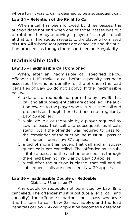whose turn it was to call is deemed to be a subsequent call.

## **Law 34 – Retention of the Right to Call**

When a call has been followed by three passes, the auction does not end when one of those passes was out of rotation, thereby depriving a player of his right to call at that turn. The auction reverts to the player who missed his turn. All subsequent passes are cancelled and the auction proceeds as though there had been no irregularity.

## **Inadmissible Calls**

## **Law 35 – Inadmissible Call Condoned**

When, after an inadmissible call specified below, offender's LHO makes a call before a penalty has been assessed, there is no penalty for the offence (the lead penalties of Law 26 do not apply). If the inadmissible call was:

- A. a double or redouble not permitted by Law 19, that call and all subsequent calls are cancelled. The auction reverts to the player whose turn it is to call and proceeds as though there had been no irregularity. Law 36 applies.
- B. a bid, double or redouble by a player required by Law to pass, that call and subsequent legal calls stand, but if the offender was required to pass for the remainder of the auction, he must still pass at subsequent turns. Law 37 applies.
- C. a bid of more than seven, that call and all subsequent calls are cancelled. The offender must substitute a pass, and the auction proceeds as through there had been no irregularity. Law 38 applies.
- D. a call after the auction is closed, that call and all subsequent calls are cancelled. Law 39 applies.

## **[Law 36 – Inadmissible Double or Redouble](#page-62-0)** Club Law 36 on page 47

Any double or redouble not permitted by Law 19 is cancelled. The offender must substitute a legal call, and (penalty) the offender's partner must pass whenever it is his turn to call (Law 23 may apply), and the lead penalties of Law 26B will apply if he becomes a defender.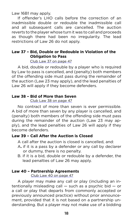<span id="page-33-0"></span>Law 16B1 may apply.

If offender's LHO calls before the correction of an inadmissible double or redouble the inadmissible call and all subsequent calls are cancelled. The auction reverts to the player whose turn it was to call and proceeds as though there had been no irregularity. The lead restrictions of Law 26 do not apply.

## **[Law 37 – Bid, Double or Redouble in Violation of the](#page-62-0)  Obligation to Pass**

Club Law 37 on page 47

A bid, double or redouble by a player who is required by Law to pass is cancelled, and (penalty) both members of the offending side must pass during the remainder of the auction (Law 23 may apply), and the lead penalties of Law 26 will apply if they become defenders.

## **[Law 38 – Bid of More than Seven](#page-62-0)**

Club Law 38 on page 47

No contract of more than seven is ever permissible. A bid of more than seven by any player is cancelled, and (penalty) both members of the offending side must pass during the remainder of the auction (Law 23 may apply), and the lead penalties of Law 26 will apply if they become defenders.

## **Law 39 – Call After the Auction is Closed**

A call after the auction is closed is cancelled, and:

- A**.** if it is a pass by a defender or any call by declarer or dummy, there is no penalty.
- B. if it is a bid, double or redouble by a defender, the lead penalties of Law 26 may apply.

## **[Law 40 – Partnership Agreements](#page-62-0)**

Club Law 40 on page 47

A player may make any call or play (including an intentionally misleading call  $-$  such as a psychic bid  $-$  or a call or play that departs from commonly accepted or previously announced practice) without prior announcement, provided that it is not based on a partnership understanding. But a player may not make use of a bidding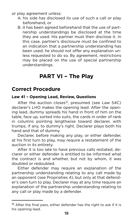- <span id="page-34-0"></span>or play agreement unless:
	- A. his side has disclosed its use of such a call or play beforehand, or
	- B. it has been agreed beforehand that the use of partnership understandings be disclosed at the time they are used. His partner must then disclose it. In this case, partner's disclosure must be confined to an indication that a partnership understanding has been used; he should not offer any explanation unless requested to do so. By agreement, restrictions may be placed on the use of special partnership understandings.

## **PART VI – The Play**

## **Correct Procedure**

## **Law 41 – Opening Lead, Review, Questions**

After the auction closes<sup>16</sup>, presumed (see Law 54C) declarer's LHO makes the opening lead. After the opening lead, dummy spreads his hand in front of him on the table, face up, sorted into suits, the cards in order of rank in columns pointing lengthwise toward declarer, with trumps, if any, to dummy's right. Declarer plays both his hand and that of dummy.

Declarer, before making any play, or either defender, at his first turn to play, may require a restatement of the auction in its entirety.

After it is too late to have previous calls restated, declarer or either defender is entitled to be informed what the contract is and whether, but not by whom, it was doubled or redoubled.

Either defender may require an explanation of the partnership understanding relating to any call made by an opponent (see Proprieties 4), but only at that defender's own turn to play. Declarer may at any time require an explanation of the partnership understanding relating to any call or play made by a defender.

<sup>&</sup>lt;sup>16</sup> After the final pass, either defender has the right to ask if it is his opening lead.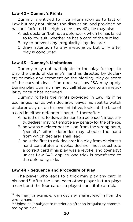## <span id="page-35-0"></span>**Law 42 – Dummy's Rights**

Dummy is entitled to give information as to fact or Law but may not initiate the discussion, and provided he has not forfeited his rights (see Law 43), he may also:

- A. ask declarer (but not a defender), when he has failed to follow suit, whether he has a card of the suit led.
- B, try to prevent any irregularity<sup>17</sup> by declarer.
- C. draw attention to any irregularity, but only after play is concluded.

## **Law 43 – Dummy's Limitations**

Dummy may not participate in the play (except to play the cards of dummy's hand as directed by declarer) or make any comment on the bidding, play or score of the current deal. If he does so, Law 16A may apply. During play dummy may not call attention to an irregularity once it has occurred.

Dummy forfeits the rights provided in Law 42 if he exchanges hands with declarer, leaves his seat to watch declarer play or, on his own initiative, looks at the face of a card in either defender's hand. If, thereafter:

- A. he is the first to draw attention to a defender's irregularity, declarer may not enforce any penalty for the offence.
- B. he warns declarer not to lead from the wrong hand, (penalty) either defender may choose the hand from which declarer shall lead.
- C. he is the first to ask declarer if a play from declarer's hand constitutes a revoke, declarer must substitute a correct card if his play was a revoke, and (penalty) unless Law 64D applies, one trick is transferred to the defending side.

## **Law 44 – Sequence and Procedure of Play**

The player who leads to a trick may play any card in his hand.<sup>18</sup> After the lead, each other player in turn plays a card, and the four cards so played constitute a trick.

<sup>&</sup>lt;sup>17</sup> He may, for example, warn declarer against leading from the wrong hand.

 $^{18}$  Unless he is subject to restriction after an irregularity committed by his side.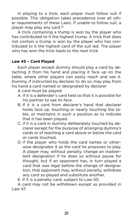In playing to a trick, each player must follow suit if possible. This obligation takes precedence over all other requirements of these Laws. If unable to follow suit, a player may play any card.18

A trick containing a trump is won by the player who has contributed to it the highest trump. A trick that does not contain a trump is won by the player who has contributed to it the highest card of the suit led. The player who has won the trick leads to the next trick.

## **Law 45 – Card Played**

Each player except dummy should play a card by detaching it from his hand and placing it face up on the table, where other players can easily reach and see it. Dummy, if instructed by declarer to do so, may play from his hand a card named or designated by declarer

A card must be played:

- A. if it is a defender's card held so that it is possible for his partner to see its face.
- B. if it is a card from declarer's hand that declarer holds face up, touching or nearly touching the table, or maintains in such a position as to indicate that it has been played.
- C. if it is a card in dummy deliberately touched by declarer except for the purpose of arranging dummy's cards or of reaching a card above or below the card or cards touched.
- D. if the player who holds the card names or otherwise designates it as the card he proposes to play. A player may, without penalty, change an inadvertent designation if he does so without pause for thought, but if an opponent has, in turn played a card that was legal before the change of designation, that opponent may, without penalty, withdraw any card so played and substitute another.
- E. if it is a penalty card, subject to Law 50.

A card may not be withdrawn except as provided in  $Law<sub>47</sub>$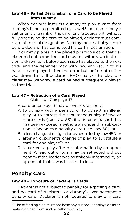## <span id="page-37-0"></span>**Law 46 – Partial Designation of a Card to be Played from Dummy**

When declarer instructs dummy to play a card from dummy's hand, as permitted by Law 45, but names only a suit or only the rank of the card, or the equivalent, without fully specifying the card to be played, declarer must complete his partial designation. Dummy must not play a card before declarer has completed his partial designation.

If dummy places in the played position a card that declarer did not name, the card must be withdrawn if attention is drawn to it before each side has played to the next trick, and the defender may withdraw and return to his hand a card played after the error but before attention was drawn to it. If declarer's RHO changes his play, declarer may withdraw a card he had subsequently played to that trick.

#### **[Law 47 – Retraction of a Card Played](#page-62-0)** Club Law 47 on page 47

- A card once played may be withdrawn only:
- A. to comply with a penalty, or to correct an illegal play or to correct the simultaneous play of two or more cards (see Law 58); if a defender's card that has been exposed is withdrawn under this sub-section, it becomes a penalty card (see Law 50), or
- B. after a change of designation as permitted by Law 45D, or
- C. after an opponent's change of play, to substitute a card for one played19, or
- D. to correct a play after misinformation by an opponent. A lead out of turn may be retracted without penalty if the leader was mistakenly informed by an opponent that it was his turn to lead.

## **Penalty Card**

## **Law 48 – Exposure of Declarer's Cards**

Declarer is not subject to penalty for exposing a card, and no card of declarer's or dummy's ever becomes a penalty card. Declarer is not required to play any card

 $19$  The offending side must not base any subsequent plays on information gained from such a withdrawn play.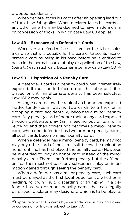dropped accidentally.

When declarer faces his cards after an opening lead out of turn, Law 54 applies. When declarer faces his cards at any other time, he may be deemed to have made a claim or concession of tricks, in which case Law 68 applies.

## **Law 49 – Exposure of a Defender's Cards**

Whenever a defender faces a card on the table, holds a card so that it is possible for his partner to see its face or names a card as being in his hand before he is entitled to do so in the normal course of play or application of the Law, (penalty) each such card becomes a penalty card (Law 50).<sup>20</sup>

## **Law 50 – Disposition of a Penalty Card**

A defender's card is a penalty card when prematurely exposed. It must be left face up on the table until it is played or until an alternate penalty has been selected. Law 16B2 may apply.

A single card below the rank of an honor and exposed inadvertently (as in playing two cards to a trick or in dropping a card accidentally) becomes a minor penalty card. Any penalty card of honor rank or any card exposed through deliberate play (as in leading out of turn or in revoking and then correcting) becomes a major penalty card; when one defender has two or more penalty cards, all such cards become major penalty cards.

When a defender has a minor penalty card, he may not play any other card of the same suit below the rank of an honor until he has first played the penalty card. (However, he is entitled to play an honor card instead of the minor penalty card.) There is no further penalty, but the offender's partner must not base any subsequent play on information gained through seeing the penalty card.

When a defender has a major penalty card, such card must be played at the first legal opportunity, whether in leading, following suit, discarding or trumping. If a defender has two or more penalty cards that can legally be played, declarer may designate which is to be played.

 $20$ Exposure of a card or cards by a defender who is making a claim or concession of tricks is subject to Law 70.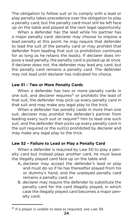<span id="page-39-0"></span>The obligation to follow suit or to comply with a lead or play penalty takes precedence over the obligation to play a penalty card, but the penalty card must still be left face up on the table and played at the next legal opportunity.

When a defender has the lead while his partner has a major penalty card, declarer may choose to impose a lead penalty at this point; he may require that defender to lead the suit of the penalty card or may prohibit that defender from leading that suit (a prohibition continues for as long as he retains the leads). If declarer does impose a lead penalty, the penalty card is picked up at once. If declarer does not, the defender may lead any card, but the penalty card remains a penalty card. The defender may not lead until declarer has indicated his choice.

## **Law 51 – Two or More Penalty Cards**

When a defender has two or more penalty cards in one suit, and declarer requires<sup>21</sup> or prohibits the lead of that suit, the defender may pick up every penalty card in that suit and may make any legal play to the trick.

When a defender has penalty cards in more than one suit, declarer may prohibit the defender's partner from leading every such suit or require<sup>22</sup> him to lead one such suit, and the defender then picks up every penalty card in the suit required or the suit(s) prohibited by declarer and may make any legal play to the trick.

## **Law 52 – Failure to Lead or Play a Penalty Card**

When a defender is required by Law 50 to play a penalty card but instead plays another card, he must leave the illegally played card face up on the table and:

- A**.** declarer may accept the defender's lead or play and must do so if he has thereafter played from his or dummy's hand, and the unplayed penalty card remains a penalty card, or
- B. declarer may require the defender to substitute the penalty card for the card illegally played, in which case the illegally played card becomes a major penalty card.

 $21$  If a player is unable to lead as required, see Law 59.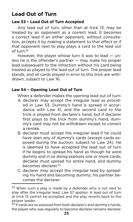## <span id="page-40-0"></span>**Lead Out of Turn**

## **Law 53 – Lead Out of Turn Accepted**

Any lead out of turn, other than at trick 13, may be treated by an opponent as a correct lead. It becomes a correct lead if an either opponent, without consultation, accepts it by making a statement to that effect or if that opponent next to play plays a card to the lead out of turn.22

However, the player whose turn it was to lead — unless he is the offender's partner — may make his proper lead subsequent to the infraction without his card being treated as played to the lead out of turn. The proper lead stands, and all cards played in error to this trick are withdrawn, subject to Law 16.

## **Law 54 – Opening Lead Out of Turn**

When a defender makes the opening lead out of turn:

- A. declarer may accept the irregular lead as provided in Law 53. Dummy's hand is spread in accordance with Law 41, and the second card to the trick is played from declarer's hand, but if declarer first plays to the trick from dummy's hand, dummy's card may not be withdrawn except to correct a revoke.
- B. declarer must accept the irregular lead if he could have seen any of dummy's cards (except cards exposed during the auction, subject to Law 24). He is deemed to have accepted the lead out of turn if he begins to spread his hand as though he were dummy and in so doing exposes one or more cards; declarer must spread his entire hand, and dummy becomes declarer.<sup>23</sup>
- C. declarer may accept the irregular lead by spreading his hand and becoming dummy; his partner becomes the declarer.

 $22$  When such a play is made by a defender who is not next to play after the irregular lead, Law 57 applies. A lead out of turn at trick 13 cannot be accepted and the play reverts back to the proper leader.

 $23$  If cards are so exposed from both declarer's and dummy's hands, the player who was regularly to become declarer remains declarer.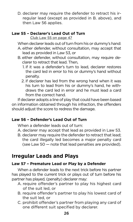<span id="page-41-0"></span>D. declarer may require the defender to retract his irregular lead (except as provided in B. above), and then Law 56 applies.

## **[Law 55 – Declarer's Lead Out of Turn](#page-62-0)**

Club Law 55 on page 47

When declarer leads out of turn from his or dummy's hand:

- A. either defender, without consultation, may accept that lead as provided in Law 53, or
- B. either defender, without consultation, may require declarer to retract that lead. Then,
	- 1. if it was a defender's turn to lead, declarer restores the card led in error to his or dummy's hand without penalty.
	- 2. if declarer has led from the wrong hand when it was his turn to lead from his or dummy's hand, he withdraws the card led in error and he must lead a card from the correct hand.

If declarer adopts a line of play that could have been based on information obtained through his infraction, the offenders should adjust the score to redress the damage.

## **Law 56 – Defender's Lead Out of Turn**

When a defender leads out of turn:

- A. declarer may accept that lead as provided in Law 53.
- B. declarer may require the defender to retract that lead; the card illegally led becomes a major penalty card (see Law 50 — note that lead penalties are provided).

## **Irregular Leads and Plays**

## **Law 57 – Premature Lead or Play by a Defender**

When a defender leads to the next trick before his partner has played to the current trick or plays out of turn before his partner has played, (penalty) declarer may:

- A. require offender's partner to play his highest card of the suit led, or
- B. require offender's partner to play his lowest card of the suit led, or
- C. prohibit offender's partner from playing any card of one different suit specified by declarer.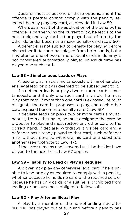<span id="page-42-0"></span>Declarer must select one of these options, and if the offender's partner cannot comply with the penalty selected, he may play any card, as provided in Law 59.

When, as a result of the application of the penalty, the offender's partner wins the current trick, he leads to the next trick, and any card led or played out of turn by the other defender becomes a major penalty card (Law 50).

A defender is not subject to penalty for playing before his partner if declarer has played from both hands, but a singleton or one of two or more equal cards in dummy is not considered automatically played unless dummy has played one such card.

#### **Law 58 – Simultaneous Leads or Plays**

A lead or play made simultaneously with another player's legal lead or play is deemed to be subsequent to it.

If a defender leads or plays two or more cards simultaneously, and if only one such card is visible, he must play that card; if more than one card is exposed, he must designate the card he proposes to play, and each other card exposed becomes a penalty card (Law 50).

If declarer leads or plays two or more cards simultaneously from either hand, he must designate the card he proposes to play and must restore any other card to the correct hand. If declarer withdraws a visible card and a defender has already played to that card, such defender may, without penalty, withdraw his card and substitute another (see footnote to Law 47).

If the error remains undiscovered until both sides have played to the next trick, Law 67 applies.

## **Law 59 – Inability to Lead or Play as Required**

A player may play any otherwise legal card if he is unable to lead or play as required to comply with a penalty, whether because he holds no card of the required suit, or because he has only cards of a suit he is prohibited from leading or because he is obliged to follow suit.

## **Law 60 – Play After an Illegal Play**

A play by a member of the non-offending side after his RHO has played out of turn and before a penalty has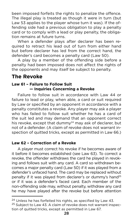been imposed forfeits the rights to penalize the offence. The illegal play is treated as though it were in turn (but Law 53 applies to the player whose turn it was). If the offending side had a previous obligation to play a penalty card or to comply with a lead or play penalty, the obligation remains at future turns.

When a defender plays after declarer has been required to retract his lead out of turn from either hand but before declarer has led from the correct hand, the defender's card becomes a penalty card (Law 50).

A play by a member of the offending side before a penalty had been imposed does not affect the rights of the opponents and may itself be subject to penalty.

## **The Revoke**

## **Law 61 – Failure to Follow Suit — Inquiries Concerning a Revoke**

Failure to follow suit in accordance with Law 44 or failure to lead or play, when able, a card or suit required by Law or specified by an opponent in accordance with a penalty constitutes a revoke. Any player may ask a player who has failed to follow suit whether he has a card of the suit led and may demand that an opponent correct his revoke, except that dummy $^{24}$  may ask of declarer, but not of a defender. (A claim of revoke does not warrant inspection of quitted tricks, except as permitted in Law 66.)

## **Law 62 – Correction of a Revoke**

A player must correct his revoke if he becomes aware of it before it becomes established (see Law 63). To correct a revoke, the offender withdraws the card he played in revoking and follows suit with any card. A card so withdrawn becomes a major penalty card (Law 50) if it was played from a defender's unfaced hand. The card may be replaced without penalty if it was played from declarer's or dummy's hand<sup>25</sup> or if it was a defender's faced card. Each member of the non-offending side may, without penalty, withdraw any card he may have played after the revoke but before attention

<sup>&</sup>lt;sup>24</sup> Unless he has forfeited his rights, as specified by Law 43. <sup>25</sup> Subject to Law 43. A claim of revoke does not warrant inspection of quitted tricks, except as permitted in Law 67.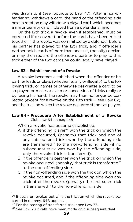<span id="page-44-0"></span>was drawn to it (see footnote to Law 47). After a non-offender so withdraws a card, the hand of the offending side next in rotation may withdraw a played card, which becomes a major penalty card if played from a defender's hand.

On the 12th trick, a revoke, even if established, must be corrected if discovered before the cards have been mixed together. If the revoke was committed by a defender before his partner has played to the 12th trick, and if offender's partner holds cards of more than one suit, (penalty) declarer may then require the offender's partner to play to that trick either of the two cards he could legally have played.

## **Law 63 – Establishment of a Revoke**

A revoke becomes established when the offender or his partner leads or plays (whether legally or illegally) to the following trick, or names or otherwise designates a card to be so played or makes a claim or concession of tricks orally or by facing his hand. The revoke may then no longer be corrected (except for a revoke on the 12th trick — see Law 62), and the trick on which the revoke occurred stands as played.

## **[Law 64 – Procedure After Establishment of a Revoke](#page-63-0)** Club Law 64 on page 48

When a revoke has become established,

- A. if the offending player<sup>26</sup> won the trick on which the revoke occurred, (penalty) that trick and one of any subsequent tricks won by the offending side are transferred<sup>27</sup> to the non-offending side (if no subsequent trick was won by the offending side, only the revoke trick is transferred).
- B. if the offender's partner won the trick on which the revoke occurred, (penalty) that trick is transferred<sup>28</sup> to the non-offending side.
- C. if the non-offending side won the trick on which the revoke occurred, and if the offending side won any trick after the revoke, (penalty) the first such trick is transferred $^{27}$  to the non-offending side.

 $26$  If declarer revokes but wins the trick on which the revoke occurred in dummy, 64B applies.

<sup>&</sup>lt;sup>27</sup> For the scoring of transferred tricks see Law 77.

<sup>&</sup>lt;sup>28</sup> See Law 78 if calls have been made on a subsequent deal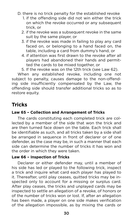- <span id="page-45-0"></span>D. there is no trick penalty for the established revoke
	- 1. if the offending side did not win either the trick on which the revoke occurred or any subsequent trick, or
	- 2. if the revoke was a subsequent revoke in the same suit by the same player, or
	- 3. if the revoke was made in failing to play any card faced on, or belonging to a hand faced on, the table, including a card from dummy's hand, or
	- 4. if attention was first drawn to the revoke after all players had abandoned their hands and permitted the cards to be mixed together, or
	- 5. If the revoke was on the 12th trick (see Law 62).

When any established revoke, including one not subject to penalty, causes damage to the non-offending side insufficiently compensated by the Law, the offending side should transfer additional tricks so as to restore equity.

## **Tricks**

## **Law 65 – Collection and Arrangement of Tricks**

The cards constituting each completed trick are collected by a member of the side that won the trick and are then turned face down on the table. Each trick shall be identifiable as such, and all tricks taken by a side shall be arranged in sequence in front of declarer or of one defender, as the case may be, in such a manner that each side can determine the number of tricks it has won and the order in which they were taken.

## **Law 66 – Inspection of Tricks**

Declarer or either defender may, until a member of his side has led or played to the following trick, inspect a trick and inquire what card each player has played to it. Thereafter, until play ceases, quitted tricks may be inspected only to account for a missing or surplus card. After play ceases, the tricks and unplayed cards may be inspected to settle an allegation of a revoke, of honors or of the number of tricks won or lost. If, after an allegation has been made, a player on one side makes verification of the allegation impossible, as by mixing the cards or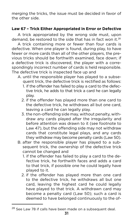merging the tricks, the issue must be decided in favor of the other side.

## **Law 67 – Trick Either Appropriated in Error or Defective**

A trick appropriated by the wrong side must, upon demand, be restored to the side that has in fact won it.28

A trick containing more or fewer than four cards is defective. When one player is found, during play, to have fewer or more cards than all of the other players, the previous tricks should be forthwith examined, face down; if a defective trick is discovered, the player with a correspondingly incorrect number of cards is held responsible. The defective trick is inspected face up and

- A. until the responsible player has played to a subsequent trick, the defective trick is rectified as follows:
	- 1. if the offender has failed to play a card to the defective trick, he adds to that trick a card he can legally play.
	- 2. if the offender has played more than one card to the defective trick, he withdraws all but one card, leaving a card he can legally play.
	- 3. the non-offending side may, without penalty, withdraw any cards played after the irregularity and before attention was drawn to it (see footnote to Law 47), but the offending side may not withdraw cards that constitute legal plays, and any cards they withdraw may become penalty cards (Law 50).
- B. after the responsible player has played to a subsequent trick, the ownership of the defective trick cannot be changed and
	- 1. if the offender has failed to play a card to the defective trick, he forthwith faces and adds a card to that trick, if possible one he could legally have played to it.
	- 2. if the offender has played more than one card to the defective trick, he withdraws all but one card, leaving the highest card he could legally have played to that trick. A withdrawn card may become a penalty card (Law 50); such a card is deemed to have belonged continuously to the of-

<sup>&</sup>lt;sup>28</sup> See Law 78 if calls have been made on a subsequent deal.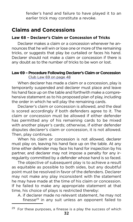<span id="page-47-0"></span>fender's hand and failure to have played it to an earlier trick may constitute a revoke.

## **Claims and Concessions**

## **Law 68 – Declarer's Claim or Concession of Tricks**

Declarer makes a claim or a concession whenever he announces that he will win or lose one or more of the remaining tricks, or suggests that play be curtailed or faces his hand. Declarer should not make a claim or concession if there is any doubt as to the number of tricks to be won or lost.

## **[Law 69 – Procedure Following Declarer's Claim or Concession](#page-63-0)**  Club Law 69 on page 48

When declarer has made a claim or a concession, play is temporarily suspended and declarer must place and leave his hand face up on the table and forthwith make a comprehensive statement as to his proposed plan of play, including the order in which he will play the remaining cards.

Declarer's claim or concession is allowed, and the deal is scored accordingly if both defenders agree to it. The claim or concession must be allowed if either defender has permitted any of his remaining cards to be mixed with another player's cards; otherwise, if either defender disputes declarer's claim or concession, it is not allowed. Then, play continues.

When his claim or concession is not allowed, declarer must play on, leaving his hand face up on the table. At any time either defender may face his hand for inspection by his partner, and declarer may not impose a penalty for any irregularity committed by a defender whose hand is so faced.

The objective of subsequent play is to achieve a result as equitable as possible to both sides, but any doubtful point must be resolved in favor of the defenders. Declarer may not make any play inconsistent with the statement he may have made at the time of his claim or concession. If he failed to make any appropriate statement at that time, his choice of plays is restricted thereby:

A. if declarer made no relevant statement, he may not finesse $29$  in any suit unless an opponent failed to

 $29$  For these purposes, a finesse is a play the success of which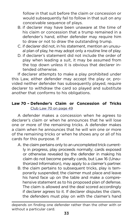<span id="page-48-0"></span>follow in that suit before the claim or concession or would subsequently fail to follow in that suit on any conceivable sequence of plays.

- B. if declarer may have been unaware at the time of his claim or concession that a trump remained in a defender's hand, either defender may require him to draw or not to draw the outstanding trump.
- C. if declarer did not, in his statement, mention an unusual plan of play, he may adopt only a routine line of play.
- D. if declarer's statement did not include the order of play when leading a suit, it may be assumed from the top down unless it is obvious that declarer intended otherwise.

If declarer attempts to make a play prohibited under this Law, either defender may accept the play or, provided neither defender has subsequently played, require declarer to withdraw the card so played and substitute another that conforms to his obligations.

## **[Law 70 – Defender's Claim or Concession of Tricks](#page-64-0)** Club Law 70 on page 49

A defender makes a concession when he agrees to declarer's claim or when he announces that he will lose one or more of the remaining tricks. A defender makes a claim when he announces that he will win one or more of the remaining tricks or when he shows any or all of his cards for this purpose. If

- A. the claim pertains only to an uncompleted trick currently in progress, play proceeds normally; cards exposed or otherwise revealed by the defender in making his claim do not become penalty cards, but Law 16 (Unauthorized Information), may apply to a claimer's partner.
- B. the claim pertains to subsequent tricks, play is temporarily suspended; the claimer must place and leave his hand face up on the table and make a comprehensive statement as to his proposed plan of defense. The claim is allowed and the deal scored accordingly if declarer agrees to it. If declarer disputes the claim, the defenders must play on with the claimer's hand

depends on finding one defender rather than the other with or without a particular card.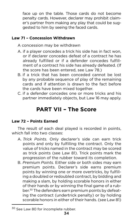<span id="page-49-0"></span>face up on the table. Those cards do not become penalty cards. However, declarer may prohibit claimer's partner from making any play that could be suggested to him by seeing the faced cards.

## **Law 71 – Concession Withdrawn**

A concession may be withdrawn

- A. if a player concedes a trick his side has in fact won, or if declarer concedes defeat of a contract he has already fulfilled or if a defender concedes fulfillment of a contract his side has already defeated. (If the score has been entered, see Law 78.)
- B. if a trick that has been conceded cannot be lost by any probable sequence of play of the remaining cards and if attention is drawn to the fact before the cards have been mixed together.
- C. if a defender concedes one or more tricks and his partner immediately objects, but Law 16 may apply.

## **PART VII – The Score**

## **Law 72 – Points Earned**

The result of each deal played is recorded in points, which fall into two classes:

- A. *Trick Points.* Only declarer's side can earn trick points and only by fulfilling the contract. Only the value of tricks named in the contract may be scored as trick points (see Law 81). Trick points mark the progression of the rubber toward its completion.
- B. *Premium Points.* Either side or both sides may earn premium points. Declarer's side earns premium points by winning one or more overtricks, by fulfilling a doubled or redoubled contract, by bidding and making a slam, by holding scorable honors in either of their hands or by winning the final game of a rubber.30 The defenders earn premium points by defeating the contract (undertrick penalty) or by holding scorable honors in either of their hands. (see Law 81)

<sup>&</sup>lt;sup>30</sup> See Law 80 for incomplete rubber.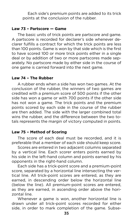<span id="page-50-0"></span> Each side's premium points are added to its trick points at the conclusion of the rubber.

## **Law 73 – Partscore — Game**

The basic units of trick points are partscore and game. A partscore is recorded for declarer's side whenever declarer fulfills a contract for which the trick points are less than 100 points. Game is won by that side which is the first to have scored 100 or more trick points either in a single deal or by addition of two or more partscores made separately. No partscore made by either side in the course of one game is carried forward into the next game.

#### **Law 74 – The Rubber**

A rubber ends when a side has won two games. At the conclusion of the rubber, the winners of two games are credited with a premium score of 500 points if the other side has won a game or with 700 points if the other side has not won a game. The trick points and the premium points scored by each side in the course of the rubber are then added. The side with the larger combined total wins the rubber, and the difference between the two totals represents the margin of victory computed in points.

## **Law 75 – Method of Scoring**

The score of each deal must be recorded, and it is preferable that a member of each side should keep score.

Scores are entered in two adjacent columns separated by a vertical line. Each scorer enters points earned by his side in the left-hand column and points earned by his opponents in the right-hand column.

Each side has a trick-point score and a premium-point score, separated by a horizontal line intersecting the vertical line. All trick-point scores are entered, as they are earned, in descending order below the horizontal line (below the line). All premium-point scores are entered, as they are earned, in ascending order above the horizontal line.

Whenever a game is won, another horizontal line is drawn under all trick-point scores recorded for either side, in order to mark completion of the game. Subse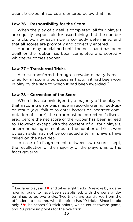<span id="page-51-0"></span>quent trick-point scores are entered below that line.

## **Law 76 – Responsibility for the Score**

When the play of a deal is completed, all four players are equally responsible for ascertaining that the number of tricks won by each side is correctly determined and that all scores are promptly and correctly entered.

Honors may be claimed until the next hand has been dealt or the rubber has been completed and scored – whichever comes sooner.

#### **Law 77 – Transferred Tricks**

A trick transferred through a revoke penalty is reckoned for all scoring purposes as though it had been won in play by the side to which it had been awarded. $31$ 

#### **Law 78 – Correction of the Score**

When it is acknowledged by a majority of the players that a scoring error was made in recording an agreed-upon result (e.g., failure to enter honors or incorrect computation of score), the error must be corrected if discovered before the net score of the rubber has been agreed to. However, except with the consent of all four players, an erroneous agreement as to the number of tricks won by each side may not be corrected after all players have called on the next deal.

In case of disagreement between two scores kept, the recollection of the majority of the players as to the facts governs.

 $31$  Declarer plays in 3 $\blacktriangledown$  and takes eight tricks. A revoke by a defender is found to have been established, with the penalty determined to be two tricks. Two tricks are transferred from the offenders to declarer, who therefore has 10 tricks. Since he bid only 3♥, he scores 90 trick points, which count toward game, and 30 premium points for the overtrick.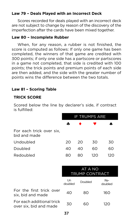## <span id="page-52-0"></span>**Law 79 – Deals Played with an Incorrect Deck**

Scores recorded for deals played with an incorrect deck are not subject to change by reason of the discovery of the imperfection after the cards have been mixed together.

#### **Law 80 – Incomplete Rubber**

When, for any reason, a rubber is not finished, the score is computed as follows: If only one game has been completed, the winners of that game are credited with 300 points; if only one side has a partscore or partscores in a game not completed, that side is credited with 100 points; the trick points and premium points of each side are then added, and the side with the greater number of points wins the difference between the two totals.

## **Law 81 – Scoring Table**

## **TRICK SCORE**

Scored below the line by declarer's side, if contract is fulfilled:

|                                          | <b>IF TRUMPS ARE</b> |    |     |     |
|------------------------------------------|----------------------|----|-----|-----|
|                                          | Ж,                   |    |     |     |
| For each trick over six,<br>bid and made |                      |    |     |     |
| Undoubled                                | 20                   | 20 | 30  | 30  |
| Doubled                                  | 40                   | 40 | 60  | 60  |
| Redoubled                                | റ്റ                  | 80 | 120 | 120 |

|                                                     | AT A NO<br><b>TRUMP CONTRACT</b> |         |                |
|-----------------------------------------------------|----------------------------------|---------|----------------|
|                                                     | Un<br>doubled                    | Doubled | Re-<br>doubled |
| For the first trick over<br>six, bid and made       | 40                               | 80      | 160            |
| For each additional trick<br>over six, bid and made | 30                               | 60      | 120            |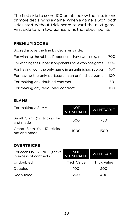The first side to score 100 points below the line, in one or more deals, wins a game. When a game is won, both sides start without trick score toward the next game. First side to win two games wins the rubber points

## **PREMIUM SCORE**

Scored above the line by declarer's side.

| For winning the rubber, if opponents have won no game  | 700  |
|--------------------------------------------------------|------|
| For winning the rubber, if opponents have won one game | 500  |
| For having won the only game in an unfinished rubber   | 300  |
| For having the only partscore in an unfinished game    | 100  |
| For making any doubled contract                        | 50   |
| For making any redoubled contract                      | 100. |

## **SLAMS**

| For making a SLAM                          | <b>NOT</b><br><b>VULNERABLE</b> | VULNERABLE |
|--------------------------------------------|---------------------------------|------------|
| Small Slam (12 tricks) bid<br>and made     | 500                             | 750        |
| Grand Slam (all 13 tricks)<br>bid and made | 1000                            | 1500       |

## **OVERTRICKS**

| For each OVERTRICK (tricks<br>in excess of contract) | <b>NOT</b><br><b>VULNERABLE</b> | VULNERABLE  |
|------------------------------------------------------|---------------------------------|-------------|
| Undoubled                                            | <b>Trick Value</b>              | Trick Value |
| Doubled                                              | 10O                             | 200         |
| Redoubled                                            | 200                             | 400         |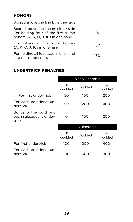## **HONORS**

Scored above the line by either side:

| Scored above the line by either side<br>For holding four of the five trump<br>honors (A, K, Q, J, 10) in one hand | 100 |
|-------------------------------------------------------------------------------------------------------------------|-----|
| For holding all five trump honors<br>(A, K, Q, J, 10) in one hand                                                 | 150 |
| For holding all four aces in one hand<br>at a no trump contract                                                   | 150 |

## **UNDERTRICK PENALTIES**

|                                                             | Not Vulnerable   |         |                |  |
|-------------------------------------------------------------|------------------|---------|----------------|--|
|                                                             | $Un-$<br>doubled | Doubled | Re-<br>doubled |  |
| For first undertrick                                        | 50               | 100     | 200            |  |
| For each additional un-<br>dertrick                         | 50               | 200     | 400            |  |
| Bonus for the fourth and<br>each subsequent under-<br>trick | Ο                | 100     | 200            |  |
|                                                             | Vulnerable       |         |                |  |
|                                                             | Un-<br>doubled   | Doubled | Re-<br>doubled |  |
| For first undertrick                                        | 100              | 200     | 400            |  |
| For each additional un-<br>dertrick                         | 100              | 300     | 800            |  |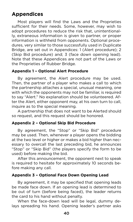## <span id="page-55-0"></span>**Appendices**

Most players will find the Laws and the Proprieties sufficient for their needs. Some, however, may wish to adopt procedures to reduce the risk that, unintentionally, extraneous information is given to partner, or proper information is withheld from opponents. Optional procedures, very similar to those successfully used in Duplicate Bridge, are set out in Appendices: 1 (Alert procedure); 2 (Skip Bid procedure) and; 3 (face down opening lead). Note that these Appendices are not part of the Laws or the Proprieties of Rubber Bridge.

## **Appendix 1 – Optional Alert Procedure**

By agreement, the Alert procedure may be used. Then, the partner of a player who makes a call to which the partnership attaches a special, unusual meaning, one with which the opponents may not be familiar, is required to say "Alert." No explanation should be volunteered. After the Alert, either opponent may, at his own turn to call, inquire as to the special meaning.

A partnership that does not want to be Alerted should so request, and this request should be honored.

## **Appendix 2 – Optional Skip Bid Procedure**

By agreement, the "Stop" or "Skip Bid" procedure may be used. Then, whenever a player opens the bidding at the two level or higher or makes a bid higher than necessary to overcall the last preceding bid, he announces "Stop" or "Skip Bid" (the players specify the form to be used) before making the bid.

After this announcement, the opponent next to speak is required to hesitate for approximately 10 seconds before making any call.

## **Appendix 3 – Optional Face Down Opening Lead**

By agreement, it may be specified that opening leads be made face down. If an opening lead is determined to be out of turn (before being faced), the leader returns the card to his hand without penalty.

When the face-down lead will be legal, dummy delays spreading his hand. Opening leader's partner asks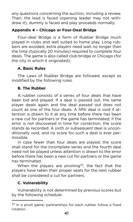any questions concerning the auction, including a review. Then, the lead is faced (opening leader may not withdraw it), dummy is faced and play proceeds normally.

## **Appendix 4 – Chicago or Four-Deal Bridge**

Four-deal Bridge is a form of Rubber Bridge much played in clubs and well suited to home play. Long rubbers are avoided; extra players need wait no longer than the time (typically 20 minutes) required to complete four deals. The game is also called club bridge or Chicago (for the city in which it originated).

## **A. Basic Rules**

The Laws of Rubber Bridge are followed, except as modified by the following rules.

## **B. The Rubber**

A rubber consists of a series of four deals that have been bid and played. If a deal is passed out, the same player deals again and the deal passed out does not count as one of the four deals. A fifth deal is void if attention is drawn to it at any time before there has been a new cut for partners or the game has terminated; if the error is not discovered in time for correction, the score stands as recorded. A sixth or subsequent deal is unconditionally void, and no score for such a deal is ever permissible.

In case fewer than four deals are played, the score shall stand for the incomplete series and the fourth deal need not be played unless attention is drawn to the error before there has been a new cut for partners or the game has terminated.

When the players are pivoting<sup>32</sup>, the fact that the players have taken their proper seats for the next rubber shall be considered a cut for partners.

## **C. Vulnerability**

Vulnerability is not determined by previous scores but by the following schedule:

<sup>&</sup>lt;sup>32</sup> In a pivot game, partnerships for each rubber follow a fixed rotation.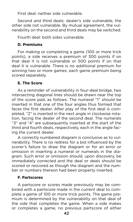First deal: neither side vulnerable.

Second and third deals: dealer's side vulnerable, the other side not vulnerable. By mutual agreement, the vulnerability on the second and third deals may be switched.

Fourth deal: both sides vulnerable.

## **D. Premiums**

For making or completing a game (100 or more trick points), a side receives a premium of 300 points if on that deal it is not vulnerable or 500 points if on that deal it is vulnerable. There is no additional premium for winning two or more games, each game premium being scored separately.

## **E. The Score**

As a reminder of vulnerability in four-deal bridge, two intersecting diagonal lines should be drawn near the top of the score pad, as follows: The numeral "1" should be inserted in that one of the four angles thus formed that faces the first dealer. After play of the first deal is completed, "2" is inserted in the next angle in clockwise rotation, facing the dealer of the second deal. The numerals "3" and "4" are subsequently inserted at the start of the third and fourth deals, respectively, each in the angle facing the current dealer.

A correctly numbered diagram is conclusive as to vulnerability. There is no redress for a bid influenced by the scorer's failure to draw the diagram or for an error or omission in inserting a numeral or numerals in the diagram. Such error or omission should, upon discovery, be immediately corrected and the deal or deals should be scored or rescored as though the diagram and the number or numbers thereon had been property inserted.

## **F. Partscores**

A partscore or scores made previously may be combined with a partscore made in the current deal to complete a game of 100 or more trick points. The game premium is determined by the vulnerability on that deal of the side that completes the game. When a side makes or completes a game, no previous partscore of either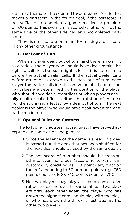side may thereafter be counted toward game. A side that makes a partscore in the fourth deal, if the partscore is not sufficient to complete a game, receives a premium of 100 points. This premium is scored whether or not the same side or the other side has an uncompleted partscore.

There is no separate premium for making a partscore in any other circumstance.

## **G. Deal out of Turn**

When a player deals out of turn, and there is no right to a redeal, the player who should have dealt retains his right to call first, but such right is lost if it is not claimed before the actual dealer calls. If the actual dealer calls before attention is drawn to the deal out of turn, each player thereafter calls in rotation. Vulnerability and scoring values are determined by the position of the player who should have dealt, regardless of which players actually dealt or called first. Neither the rotation of the deal nor the scoring is affected by a deal out of turn. The next dealer is the player who would have dealt next if the deal had been in turn.

## **H. Optional Rules and Customs**

The following practices, not required, have proved acceptable in some clubs and games:

- 1. Since the essence of the game is speed, if a deal is passed out, the deck that has been shuffled for the next deal should be used by the same dealer.
- 2. The net score of a rubber should be translated into even hundreds (according to American custom) by crediting as 100 points any fraction thereof amounting to 50 or more points: e.g., 750 points count as 800; 740 points count as 700.
- 3. No two players may play a second consecutive rubber as partners at the same table. If two players draw each other again, the player who has drawn the highest card should play with the player who has drawn the third-highest, against the other two players.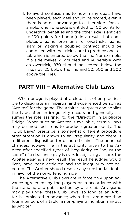<span id="page-59-0"></span>4. To avoid confusion as to how many deals have been played, each deal should be scored, even if there is no net advantage to either side (for example, when one side is entitled to 100 points for undertrick penalties and the other side is entitled to 100 points for honors). In a result that completes a game, premiums for overtricks, game, slam or making a doubled contract should be combined with the trick score to produce one total, which is entered below the line (for example, if a side makes  $2<sup>2</sup>$  doubled and vulnerable with an overtrick, 870 should be scored below the line, not 120 below the line and 50, 500 and 200 above the line).

## **PART VIII – Alternative Club Laws**

When bridge is played at a club, it is often practicable to designate an impartial and experienced person as "Arbiter" for the game. The Arbiter interprets and applies the Laws after an irregularity occurs and generally assumes the role assigned to the "Director" in Duplicate Bridge. When such an Arbiter is available, certain Laws may be modified so as to produce greater equity. The "Club Laws" prescribe a somewhat different procedure after attention is drawn to an irregularity, and there is a different disposition for disputed claims. The principal changes, however, lie in the authority given to the Arbiter, after specified types of irregularity, to "adjust the score" of a deal once play is over. In adjusting a score, the Arbiter assigns a new result, the result he judges would likely have been achieved had the irregularity not occurred. The Arbiter should resolve any substantial doubt in favor of the non-offending side.

The Alternative Club Laws are in force only upon advance agreement by the players or in accordance with the standing and published policy of a club. Any game may play under these Club Laws, so long as an Arbiter is nominated in advance; when there are more than four members of a table, a non-playing member may act as Arbiter.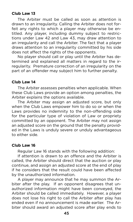## <span id="page-60-0"></span>**Club Law 13**

The Arbiter must be called as soon as attention is drawn to an irregularity. Calling the Arbiter does not forfeit any rights to which a player may otherwise be entitled. Any player, including dummy subject to restrictions under Law 42 and Law 43, may draw attention to an irregularity and call the Arbiter. The fact that a player draws attention to an irregularity committed by his side does not affect the rights of the opponents.

No player should call or play until the Arbiter has determined and explained all matters in regard to the irregularity. Premature correction of an irregularity on the part of an offender may subject him to further penalty.

## **Club Law 14**

The Arbiter assesses penalties when applicable. When these Club Laws provide an option among penalties, the Arbiter explains the options available.

The Arbiter may assign an adjusted score, but only when the Club Laws empower him to do so or when the Laws provides no indemnity to the non-offending side for the particular type of violation of Law or propriety committed by an opponent. The Arbiter may not assign an adjusted score on the ground that the penalty provided in the Laws is unduly severe or unduly advantageous to either side.

## **Club Law 16**

Regular Law 16 stands with the following addition:

If attention is drawn to an offence and the Arbiter is called, the Arbiter should direct that the auction or play continue, and assign an adjusted score at the end of play if he considers that the result could have been affected by the unauthorized information.

A player may announce that he may summon the Arbiter after the play. If an opponent disagrees that unauthorized information might have been conveyed, the Arbiter should be called immediately. However, a player does not lose his right to call the Arbiter after play has ended even if no announcement is made earlier. The Arbiter should award an adjusted score after play ends to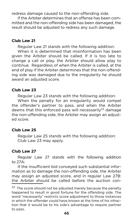<span id="page-61-0"></span>redress damage caused to the non-offending side.

If the Arbiter determines that an offense has been committed and the non-offending side has been damaged, the result should be adjusted to redress any such damage.

## **Club Law 21**

Regular Law 21 stands with the following addition:

When it is determined that misinformation has been given the Arbiter should be called. If it is too late to change a call or play, the Arbiter should allow play to continue. Regardless of when the Arbiter is called, at the end of play if the Arbiter determines that the non-offending side was damaged due to the irregularity he should award an adjusted score.

## **Club Law 23**

Regular Law 23 stands with the following addition:

When the penalty for an irregularity would compel the offender's partner to pass, and when the Arbiter deems that this enforced pass will necessarily<sup>33</sup> damage the non-offending side, the Arbiter may assign an adjusted score.

## **Club Law 25**

Regular Law 25 stands with the following addition: Club Law 23 may apply.

## **Club Law 27**

Regular Law 27 stands with the following addition to 27A:

If the insufficient bid conveyed such substantial information as to damage the non-offending side, the Arbiter may assign an adjusted score, and in regular Law 27B: the Arbiter should be called before the auction con-

<sup>&</sup>lt;sup>33</sup> The score should not be adjusted merely because the penalty happened to result in good fortune for the offending side. The word "necessarily" restricts score adjustment to those instances in which the offender could have known at the time of his infraction that it would be to his side's advantage to require partner to pass.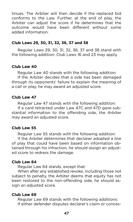<span id="page-62-0"></span>tinues. The Arbiter will then decide if the replaced bid conforms to the Law. Further, at the end of play, the Arbiter can adjust the score if he determines that the outcome would have been different without some added information.

## **Club Laws 29, 30, 31, 32, 36, 37 and 38**

Regular Laws 29, 30, 31, 32, 36, 37 and 38 stand with the following addition: Club Laws 16 and 23 may apply.

## **Club Law 40**

Regular Law 40 stands with the following addition: If the Arbiter decides that a side has been damaged through its opponents' failure to explain the meaning of a call or play, he may award an adjusted score.

## **Club Law 47**

Regular Law 47 stands with the following addition:

If a card retracted under Law 47C and 47D gave substantial information to the offending side, the Arbiter may award an adjusted score.

## **Club Law 55**

Regular Law 55 stands with the following addition:

If the Arbiter determines that declarer adopted a line of play that could have been based on information obtained through his infraction, he should assign an adjusted score to redress the damage.

## **Club Law 64**

Regular Law 64 stands, except that:

When after any established revoke, including those not subject to penalty, the Arbiter deems that equity has not been restored to the non-offending side, he should assign an adjusted score.

## **Club Law 69**

Regular Law 69 stands with the following additions: If either defender disputes declarer's claim or conces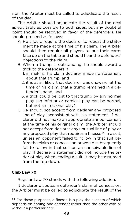<span id="page-63-0"></span>sion, the Arbiter must be called to adjudicate the result of the deal.

The Arbiter should adjudicate the result of the deal as equitably as possible to both sides, but any doubtful point should be resolved in favor of the defenders. He should proceed as follows:

- A. He should require the declarer to repeat the statement he made at the time of his claim. The Arbiter should then require all players to put their cards face up on the table and should hear the defenders' objections to the claim.
- B. When a trump is outstanding, he should award a trick to the defenders if
	- 1. in making his claim declarer made no statement about that trump, and
	- 2. it is at all likely that declarer was unaware, at the time of his claim, that a trump remained in a defender's hand, and
	- 3. a trick could be lost to that trump by any normal play (an inferior or careless play can be normal, but not an irrational play).
- C. He should not accept from declarer any proposed line of play inconsistent with his statement. If declarer did not make an appropriate announcement at the time of his original claim, the Arbiter should not accept from declarer any unusual line of play or any proposed play that requires a finesse $34$  in a suit, unless an opponent failed to follow in that suit before the claim or concession or would subsequently fail to follow in that suit on an conceivable line of play. If declarer's statement did not include the order of play when leading a suit, it may be assumed from the top down.

## **Club Law 70**

Regular Law 70 stands with the following addition:

It declarer disputes a defender's claim of concession, the Arbiter must be called to adjudicate the result of the

 $34$  For these purposes, a finesse is a play the success of which depends on finding one defender rather than the other with or without a particular card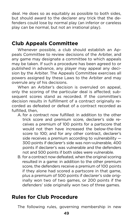<span id="page-64-0"></span>deal. He does so as equitably as possible to both sides, but should award to the declarer any trick that the defenders could lose by normal play (an inferior or careless play can be normal, but not an irrational play).

## **Club Appeals Committee**

Whenever possible, a club should establish an Appeals Committee to review decisions of the Arbiter, and any game may designate a committee to which appeals may be taken. If such a procedure has been agreed to or published in advance, any player may appeal any decision by the Arbiter. The Appeals Committee exercises all powers assigned by these Laws to the Arbiter and may overrule any of his decisions.

When an Arbiter's decision is overruled on appeal, only the scoring of the particular deal is affected; subsequent scores stand as recorded. If the committee's decision results in fulfillment of a contract originally recorded as defeated or defeat of a contract recorded as fulfilled, then,

- A. for a contract now fulfilled: in addition to the other trick score and premium score, declarer's side receives a premium of 100 points for a partscore that would not then have increased the below-the-line score to 100; and for any other contract, declarer's side receives a premium according to vulnerability — 300 points if declarer's side was non-vulnerable, 400 points if declarer's was vulnerable and the defenders not and 500 points if both sides were vulnerable.
- B. for a contract now defeated, when the original scoring resulted in a game: in addition to the other premium score, the defenders receive a premium of 100 points if they alone had scored a partscore in that game, plus a premium of 500 points if declarer's side originally won two of two games, or 200 points if the defenders' side originally won two of three games.

## **Rules for Club Procedure**

The following rules, governing membership in new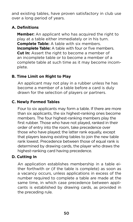and existing tables, have proven satisfactory in club use over a long period of years.

## **A. Definitions**

**Member:** An applicant who has acquired the right to play at a table either immediately or in his turn. **Complete Table:** A table with six members. **Incomplete Table:** A table with four or five members. **Cut In:** Assert the right to become a member of an incomplete table or to become a member of a complete table at such time as it may become incomplete.

## **B. Time Limit on Right to Play**

 An applicant may not play in a rubber unless he has become a member of a table before a card is duly drawn for the selection of players or partners.

## **C. Newly Formed Tables**

 Four to six applicants may form a table. If there are more than six applicants, the six highest-ranking ones become members. The four highest-ranking members play the first rubber. Those who have not played, ranked in their order of entry into the room, take precedence over those who have played; the latter rank equally, except that players leaving existing tables to join the new table rank lowest. Precedence between those of equal rank is determined by drawing cards, the player who draws the highest-ranking card having precedence.

## **D. Cutting In**

 An application establishes membership in a table either forthwith or (if the table is complete) as soon as a vacancy occurs, unless applications in excess of the number required to complete a table are made at the same time, in which case precedence between applicants is established by drawing cards, as provided in the preceding rule.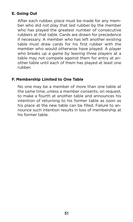## **E. Going Out**

 After each rubber, place must be made for any member who did not play that last rubber by the member who has played the greatest number of consecutive rubbers at that table. Cards are drawn for precedence if necessary. A member who has left another existing table must draw cards for his first rubber with the member who would otherwise have played. A player who breaks up a game by leaving three players at a table may not compete against them for entry at another table until each of them has played at least one rubber.

## **F. Membership Limited to One Table**

 No one may be a member of more than one table at the same time, unless a member consents, on request, to make a fourth at another table and announces his intention of returning to his former table as soon as his place at the new table can be filled. Failure to announce such intention results in loss of membership at his former table.